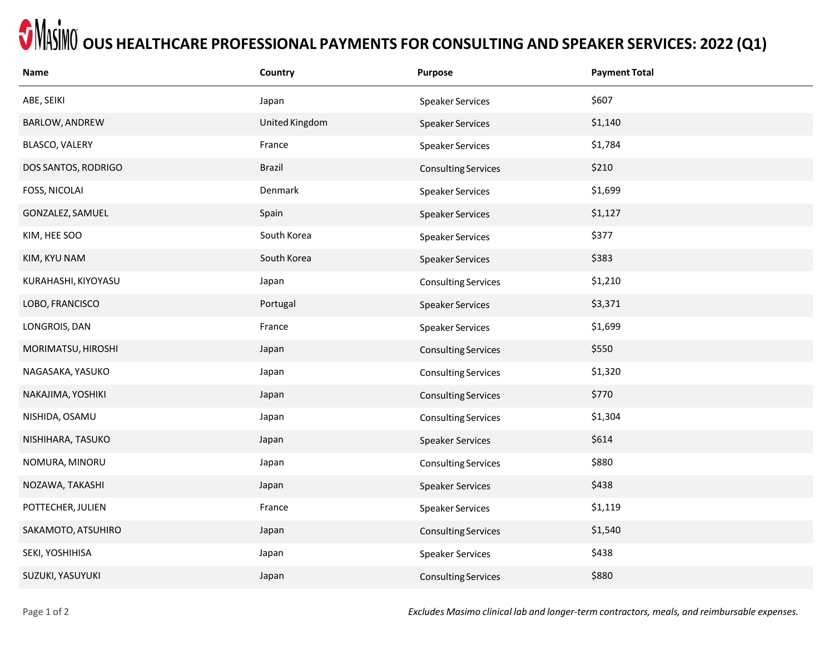## $\bullet$  **MASIMO** OUS HEALTHCARE PROFESSIONAL PAYMENTS FOR CONSULTING AND SPEAKER SERVICES: 2022 (Q1)

| <b>Name</b>         | Country        | Purpose                    | <b>Payment Total</b> |
|---------------------|----------------|----------------------------|----------------------|
| ABE, SEIKI          | Japan          | <b>Speaker Services</b>    | \$607                |
| BARLOW, ANDREW      | United Kingdom | <b>Speaker Services</b>    | \$1,140              |
| BLASCO, VALERY      | France         | Speaker Services           | \$1,784              |
| DOS SANTOS, RODRIGO | <b>Brazil</b>  | <b>Consulting Services</b> | \$210                |
| FOSS, NICOLAI       | Denmark        | <b>Speaker Services</b>    | \$1,699              |
| GONZALEZ, SAMUEL    | Spain          | <b>Speaker Services</b>    | \$1,127              |
| KIM, HEE SOO        | South Korea    | <b>Speaker Services</b>    | \$377                |
| KIM, KYU NAM        | South Korea    | <b>Speaker Services</b>    | \$383                |
| KURAHASHI, KIYOYASU | Japan          | <b>Consulting Services</b> | \$1,210              |
| LOBO, FRANCISCO     | Portugal       | <b>Speaker Services</b>    | \$3,371              |
| LONGROIS, DAN       | France         | Speaker Services           | \$1,699              |
| MORIMATSU, HIROSHI  | Japan          | <b>Consulting Services</b> | \$550                |
| NAGASAKA, YASUKO    | Japan          | <b>Consulting Services</b> | \$1,320              |
| NAKAJIMA, YOSHIKI   | Japan          | <b>Consulting Services</b> | \$770                |
| NISHIDA, OSAMU      | Japan          | <b>Consulting Services</b> | \$1,304              |
| NISHIHARA, TASUKO   | Japan          | <b>Speaker Services</b>    | \$614                |
| NOMURA, MINORU      | Japan          | <b>Consulting Services</b> | \$880                |
| NOZAWA, TAKASHI     | Japan          | <b>Speaker Services</b>    | \$438                |
| POTTECHER, JULIEN   | France         | Speaker Services           | \$1,119              |
| SAKAMOTO, ATSUHIRO  | Japan          | <b>Consulting Services</b> | \$1,540              |
| SEKI, YOSHIHISA     | Japan          | <b>Speaker Services</b>    | \$438                |
| SUZUKI, YASUYUKI    | Japan          | <b>Consulting Services</b> | \$880                |